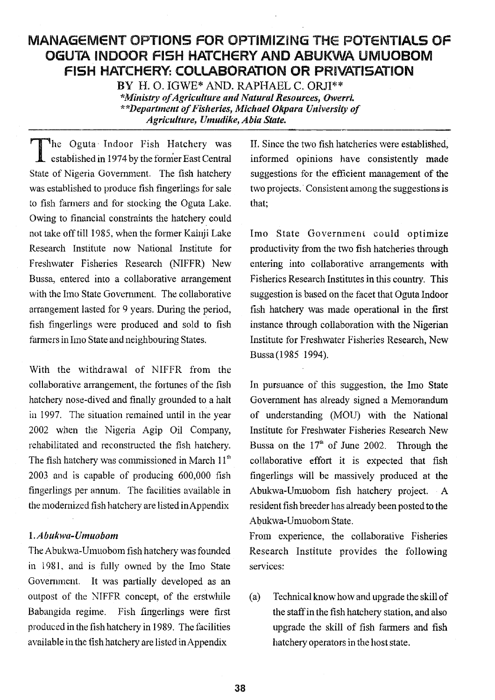# MANAGEMENT OPTONS FOR OPTMIZNG THE POTENTIALS OF OGUTA INDOOR FISH HATCHERY AND ABUKWA UMUOBOM FISH HATCHERY: COLLABORATION OR PRIVATISATION

BY H. 0. IGWE\* AND. RAPHAEL C. 0RJI \*Ministry ofAgriculture and Natural Resources, Owerri. Departinent of Fisheries, Michael Okpara University of Agriculture, Umudike, Abia State.

The Oguta Indoor Fish Hatchery was established in 1974 by the former East Central State of Nigeria Government. The fish hatchery was established to produce fish fingerlings for sale to fish farmers and for stocking the Oguta Lake. Owing to financial constraints the hatchery could not take off till 1985, when the former Kainji Lake Research Institute now National Institute for Freshwater Fisheries Research (NIFFR) New Bussa, entered into a collaborative arrangement with the Imo State Government. The collaborative arrangement lasted for 9 years. During the period, fish fingerlings were produced and sold to fish farmers in Imo State and neighbouring States,

With the withdrawal of NIFFR from the collaborative arrangement, the fortunes of the fish hatchery nose-dived and finally grounded to a halt in 1997. The situation remained until in the year 2002 when the Nigeria Agip Oil Company, rehabilitated and reconstructed the fish hatchery. Bussa on the fish hatchery was commissioned in March 11<sup>th</sup> collaborative 2003 and is capable of producing 600,000 fish fingerlings per annum. The facilities available in the modernized fish hatchery are listed inAppendix

#### 1, Abiikwa-Umuoborn

The Abukwa-Umuoborn fish hatchery was founded in 1981, and is fully owned by the Imo State Government. It was partially developed as an outpost of the NIFFR concept, of the erstwhile (a) Babangida regime. Fish fingerlings were first produced in the fish hatchery in 1989. The facilities available in the tish hatchery are listed inAppendix

IL Since the two fish hatcheries were established, informed opinions have consistently made suggestions for the efficient management of the two projects. Consistent among the suggestions is that;

Imo State Government could optimize productivity from the two fish hatcheries through entering into collaborative arrangements with Fisheries Research Institutes in this country. This suggestion is based on the facet that Oguta Indoor fish hatchery was made operational in the first instance through collaboration with the Nigerian Institute for Freshwater Fisheries Research, New Bussa(1985 1994).

In pursuance of this suggestion, the Imo State Government has already signed a Memorandum of understanding (MOU) with the National Institute for Freshwater Fisheries Research New Bussa on the  $17<sup>th</sup>$  of June 2002. Through the collaborative effort it is expected that fish fingerlings will be massively produced at the Abukwa-Umuoborn fish hatchery project. A resident fish breeder has already been posted to the Abukwa-Umuoborn State.

From experience, the collaborative Fisheries Research Institute provides the following services:

Technical know how and upgrade the skill of the staff in the fish hatchery station, and also upgrade the skill of fish farmers and fish hatchery operators in the host state.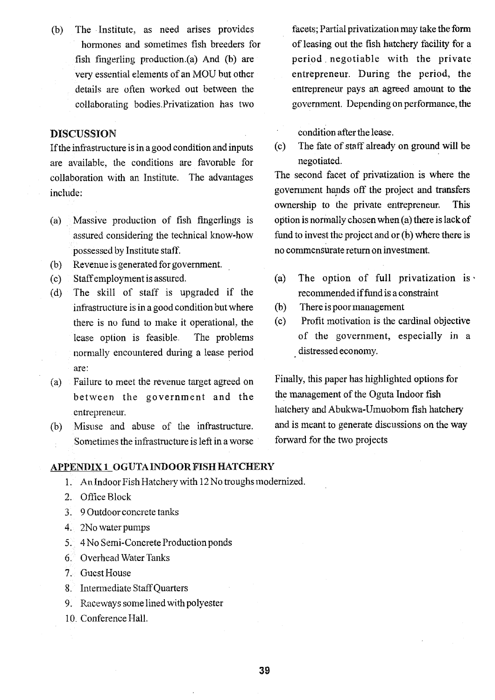(b) The Institute, as need arises provides hormones and sometimes fish breeders for fish fingerling production.(a) And (b) are very essential elements of an MOU but other details are often worked out between the collaborating bodies.Privatization has two

#### DISCUSSION

If the infrastructure is in a good condition and inputs are available, the conditions are favorable for collaboration with an Institute. The advantages include:

- (a) Massive production of fish fingerlings is assured considering the technical know-how possessed by Institute staff.
- (b) Revenue is generated for govermnent.
- (c) Staff employment is assured.
- (d) The skill of staff is upgraded if the infrastructure is in a good condition but where (b) there is no fund to make it operational, the lease option is feasible. The problems normally encountered during a lease period are:
- (a) Failure to meet the revenue target agreed on between the government and the entrepreneur.
- (b) Misuse and abuse of the infrastructure. Sometimes the infrastructure is left in a worse

#### APPENI)IX I OGUTAINDOOR FISH HATCHERY

- 1. An Indoor Fish Hatchery with 12 No troughs modernized.
- 2. Office Block
- 3. 9 Outdoor concrete tanks
- 4. 2No water pumps
- 5. 4 No Semi-Concrete Production ponds
- 6. Overhead Water Tanks
- 7. Guest House
- 8. Intermediate Staff Quarters
- 9. Raceways some lined with polyester
- 10. Conference Hall.

facets; Partial privatization may take the form of leasing out the fish hatchery facility for a period negotiable with the private entrepreneur. During the period, the entrepreneur pays an agreed amount to the government. Depending on performance, the

• condition after the lease.

The fate of staff already on ground will be negotiated.

The second facet of privatization is where the govemnient hands off the project and transfers ownership to the private entrepreneur. This option is normally chosen when (a) there is lack of fund to invest the project and or (b) where there is no commensurate return on investment.

- (a) The option of full privatization is recommended if fund is a constraint
- There is poor management
- Profit motivation is the cardinal objective of the government, especially in a distressed economy.

Finally, this paper has highlighted options for the management of the Oguta Indoor fish hatchery and Abukwa-Umuobom fish hatchery and is meant to generate discussions on the way forward for the two projects